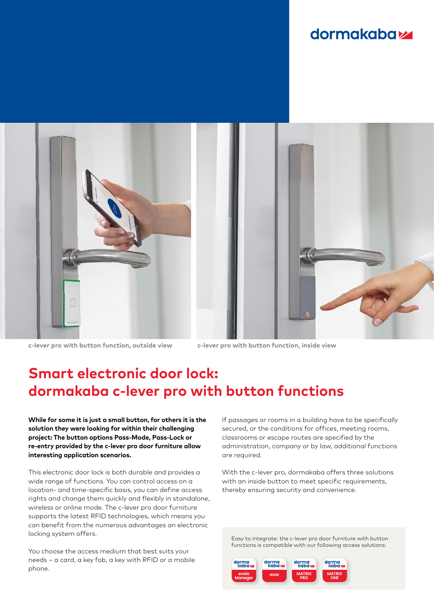## **dormakabazz**



**c-lever pro with button function, outside view c-lever pro with button function, inside view**

# **Smart electronic door lock: dormakaba c-lever pro with button functions**

**While for some it is just a small button, for others it is the solution they were looking for within their challenging project: The button options Pass-Mode, Pass-Lock or re-entry provided by the c-lever pro door furniture allow interesting application scenarios.** 

This electronic door lock is both durable and provides a wide range of functions. You can control access on a location- and time-specific basis, you can define access rights and change them quickly and flexibly in standalone, wireless or online mode. The c-lever pro door furniture supports the latest RFID technologies, which means you can benefit from the numerous advantages an electronic locking system offers.

You choose the access medium that best suits your needs – a card, a key fob, a key with RFID or a mobile phone.

If passages or rooms in a building have to be specifically secured, or the conditions for offices, meeting rooms, classrooms or escape routes are specified by the administration, company or by law, additional functions are required.

With the c-lever pro, dormakaba offers three solutions with an inside button to meet specific requirements, thereby ensuring security and convenience.

Easy to integrate: the c-lever pro door furniture with button functions is compatible with our following access solutions: